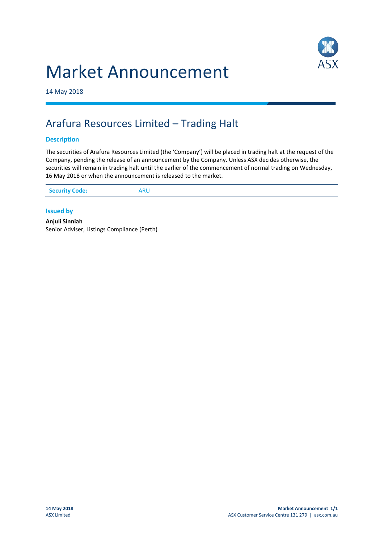



14 May 2018

# Arafura Resources Limited – Trading Halt

## **Description**

The securities of Arafura Resources Limited (the 'Company') will be placed in trading halt at the request of the Company, pending the release of an announcement by the Company. Unless ASX decides otherwise, the securities will remain in trading halt until the earlier of the commencement of normal trading on Wednesday, 16 May 2018 or when the announcement is released to the market.

|--|

### **Issued by**

**Anjuli Sinniah** Senior Adviser, Listings Compliance (Perth)